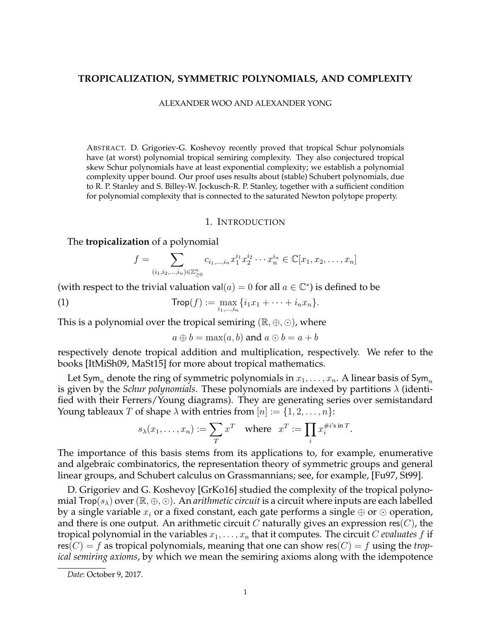## **TROPICALIZATION, SYMMETRIC POLYNOMIALS, AND COMPLEXITY**

#### ALEXANDER WOO AND ALEXANDER YONG

ABSTRACT. D. Grigoriev-G. Koshevoy recently proved that tropical Schur polynomials have (at worst) polynomial tropical semiring complexity. They also conjectured tropical skew Schur polynomials have at least exponential complexity; we establish a polynomial complexity upper bound. Our proof uses results about (stable) Schubert polynomials, due to R. P. Stanley and S. Billey-W. Jockusch-R. P. Stanley, together with a sufficient condition for polynomial complexity that is connected to the saturated Newton polytope property.

#### 1. INTRODUCTION

### The **tropicalization** of a polynomial

$$
f = \sum_{(i_1, i_2, \dots, i_n) \in \mathbb{Z}_{\geq 0}^n} c_{i_1, \dots, i_n} x_1^{i_1} x_2^{i_2} \cdots x_n^{i_n} \in \mathbb{C}[x_1, x_2, \dots, x_n]
$$

(with respect to the trivial valuation val $(a) = 0$  for all  $a \in \mathbb{C}^*$ ) is defined to be

(1) 
$$
\text{Trop}(f) := \max_{i_1,...,i_n} \{i_1 x_1 + \cdots + i_n x_n\}.
$$

This is a polynomial over the tropical semiring ( $\mathbb{R}, \oplus, \odot$ ), where

$$
a \oplus b = \max(a, b)
$$
 and  $a \odot b = a + b$ 

respectively denote tropical addition and multiplication, respectively. We refer to the books [ItMiSh09, MaSt15] for more about tropical mathematics.

Let Sym, denote the ring of symmetric polynomials in  $x_1, \ldots, x_n$ . A linear basis of Sym, is given by the *Schur polynomials*. These polynomials are indexed by partitions  $\lambda$  (identified with their Ferrers/Young diagrams). They are generating series over semistandard Young tableaux T of shape  $\lambda$  with entries from  $[n] := \{1, 2, \ldots, n\}$ :

$$
s_{\lambda}(x_1,\ldots,x_n):=\sum_{T}x^T \quad \text{where} \quad x^T:=\prod_{i}x_i^{\#i'\sin T}.
$$

The importance of this basis stems from its applications to, for example, enumerative and algebraic combinatorics, the representation theory of symmetric groups and general linear groups, and Schubert calculus on Grassmannians; see, for example, [Fu97, St99].

D. Grigoriev and G. Koshevoy [GrKo16] studied the complexity of the tropical polynomial  $\mathsf{Top}(s_\lambda)$  over  $(\mathbb{R}, \oplus, \odot)$ . An *arithmetic circuit* is a circuit where inputs are each labelled by a single variable  $x_i$  or a fixed constant, each gate performs a single  $\oplus$  or  $\odot$  operation, and there is one output. An arithmetic circuit C naturally gives an expression res(C), the tropical polynomial in the variables  $x_1, \ldots, x_n$  that it computes. The circuit C *evaluates* f if res( $C$ ) = f as tropical polynomials, meaning that one can show res( $C$ ) = f using the *tropical semiring axioms*, by which we mean the semiring axioms along with the idempotence

*Date*: October 9, 2017.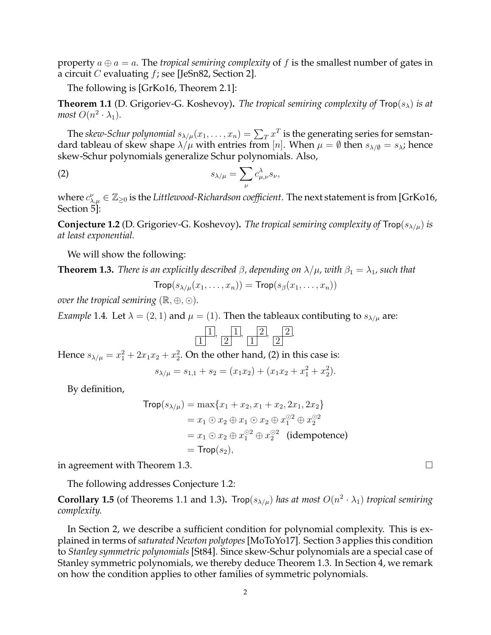property  $a \oplus a = a$ . The *tropical semiring complexity* of f is the smallest number of gates in a circuit  $C$  evaluating  $f$ ; see [JeSn82, Section 2].

The following is [GrKo16, Theorem 2.1]:

**Theorem 1.1** (D. Grigoriev-G. Koshevoy). *The tropical semiring complexity of*  $\mathsf{Top}(s_\lambda)$  *is at most*  $O(n^2 \cdot \lambda_1)$ *.* 

The *skew-Schur polynomial*  $s_{\lambda/\mu}(x_1,\ldots,x_n)=\sum_T x^T$  *is the generating series for semstan*dard tableau of skew shape  $\lambda/\mu$  with entries from [n]. When  $\mu = \emptyset$  then  $s_{\lambda/\emptyset} = s_{\lambda}$ ; hence skew-Schur polynomials generalize Schur polynomials. Also,

$$
(2) \t\t s_{\lambda/\mu} = \sum_{\nu} c_{\mu,\nu}^{\lambda} s_{\nu},
$$

where  $c_{\lambda,\mu}^{\nu}\in\mathbb{Z}_{\geq0}$  is the Littlewood-Richardson coefficient. The next statement is from [GrKo16, Section 5]:

**Conjecture 1.2** (D. Grigoriev-G. Koshevoy). *The tropical semiring complexity of*  $\text{Top}(s_{\lambda/\mu})$  *is at least exponential.*

We will show the following:

**Theorem 1.3.** *There is an explicitly described*  $\beta$ , depending on  $\lambda/\mu$ , with  $\beta_1 = \lambda_1$ , such that

$$
\mathsf{Trop}(s_{\lambda/\mu}(x_1,\ldots,x_n))=\mathsf{Trop}(s_{\beta}(x_1,\ldots,x_n))
$$

*over the tropical semiring*  $(\mathbb{R}, \oplus, \odot)$ *.* 

*Example* 1.4*.* Let  $\lambda = (2, 1)$  and  $\mu = (1)$ . Then the tableaux contibuting to  $s_{\lambda/\mu}$  are:

.

Hence  $s_{\lambda/\mu}=x_1^2+2x_1x_2+x_2^2$ . On the other hand, (2) in this case is:

$$
s_{\lambda/\mu} = s_{1,1} + s_2 = (x_1 x_2) + (x_1 x_2 + x_1^2 + x_2^2).
$$

By definition,

$$
Trop(s_{λ/μ}) = max{x1 + x2, x1 + x2, 2x1, 2x2}
$$
  
= x<sub>1</sub> ⊙ x<sub>2</sub> ⊕ x<sub>1</sub> ⊙ x<sub>2</sub> ⊕ x<sub>1</sub><sup>°2</sup> ⊕ x<sub>2</sub><sup>°2</sup>  
= x<sub>1</sub> ⊙ x<sub>2</sub> ⊕ x<sub>1</sub><sup>°2</sup> ⊕ x<sub>2</sub><sup>°2</sup> (idempotence)  
= Trop(s<sub>2</sub>),

in agreement with Theorem 1.3.

The following addresses Conjecture 1.2:

**Corollary 1.5** (of Theorems 1.1 and 1.3). Trop( $s_{\lambda/\mu}$ ) has at most  $O(n^2 \cdot \lambda_1)$  tropical semiring *complexity.*

In Section 2, we describe a sufficient condition for polynomial complexity. This is explained in terms of *saturated Newton polytopes* [MoToYo17]. Section 3 applies this condition to *Stanley symmetric polynomials* [St84]. Since skew-Schur polynomials are a special case of Stanley symmetric polynomials, we thereby deduce Theorem 1.3. In Section 4, we remark on how the condition applies to other families of symmetric polynomials.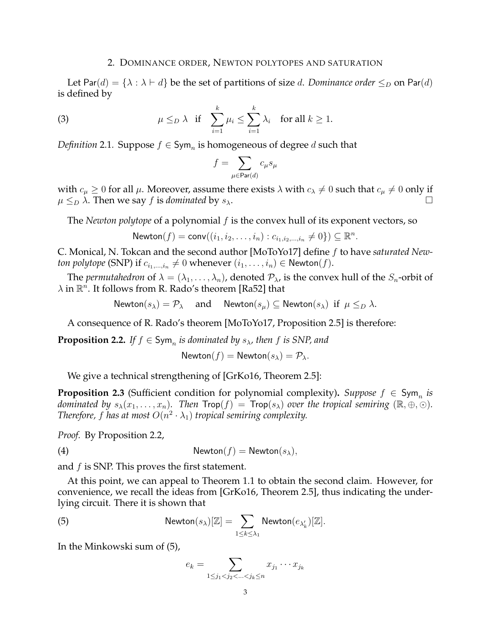### 2. DOMINANCE ORDER, NEWTON POLYTOPES AND SATURATION

Let Par(d) = { $\lambda : \lambda \vdash d$ } be the set of partitions of size d. *Dominance order*  $\leq_D$  on Par(d) is defined by

(3) 
$$
\mu \leq_D \lambda
$$
 if  $\sum_{i=1}^k \mu_i \leq \sum_{i=1}^k \lambda_i$  for all  $k \geq 1$ .

*Definition* 2.1. Suppose  $f \in \mathsf{Sym}_n$  is homogeneous of degree  $d$  such that

$$
f=\sum_{\mu\in\operatorname{Par}(d)}c_\mu s_\mu
$$

with  $c_{\mu} \ge 0$  for all  $\mu$ . Moreover, assume there exists  $\lambda$  with  $c_{\lambda} \ne 0$  such that  $c_{\mu} \ne 0$  only if  $\mu \leq_D \lambda$ . Then we say f is *dominated* by  $s_\lambda$ .

The *Newton polytope* of a polynomial f is the convex hull of its exponent vectors, so

$$
\mathsf{Newton}(f) = \mathsf{conv}((i_1, i_2, \dots, i_n) : c_{i_1, i_2, \dots, i_n} \neq 0\}) \subseteq \mathbb{R}^n.
$$

C. Monical, N. Tokcan and the second author [MoToYo17] define f to have *saturated Newton polytope* (SNP) if  $c_{i_1,...,i_n} \neq 0$  whenever  $(i_1,...,i_n) \in \mathsf{Newton}(f)$ .

The *permutahedron* of  $\lambda = (\lambda_1, \dots, \lambda_n)$ , denoted  $\mathcal{P}_{\lambda}$ , is the convex hull of the  $S_n$ -orbit of  $\lambda$  in  $\mathbb{R}^n$ . It follows from R. Rado's theorem [Ra52] that

Newton( $s_\lambda$ ) =  $\mathcal{P}_\lambda$  and Newton( $s_\mu$ )  $\subseteq$  Newton( $s_\lambda$ ) if  $\mu \leq_D \lambda$ .

A consequence of R. Rado's theorem [MoToYo17, Proposition 2.5] is therefore:

**Proposition 2.2.** If  $f \in \mathsf{Sym}_n$  is dominated by  $s_\lambda$ , then f is SNP, and

Newton
$$
(f)
$$
 = Newton $(s_\lambda)$  =  $\mathcal{P}_\lambda$ .

We give a technical strengthening of [GrKo16, Theorem 2.5]:

**Proposition 2.3** (Sufficient condition for polynomial complexity). Suppose  $f \in Sym$  *is dominated by*  $s_\lambda(x_1,\ldots,x_n)$ . Then  $\text{Top}(f) = \text{Top}(s_\lambda)$  *over the tropical semiring*  $(\mathbb{R},\oplus,\odot)$ *. Therefore, f has at most*  $O(n^2 \cdot \lambda_1)$  *tropical semiring complexity.* 

*Proof.* By Proposition 2.2,

(4)  $\mathsf{Newton}(f) = \mathsf{Newton}(s_\lambda),$ 

and  $f$  is SNP. This proves the first statement.

At this point, we can appeal to Theorem 1.1 to obtain the second claim. However, for convenience, we recall the ideas from [GrKo16, Theorem 2.5], thus indicating the underlying circuit. There it is shown that

(5) Newton
$$
(s_{\lambda})[\mathbb{Z}] = \sum_{1 \leq k \leq \lambda_1} \text{Newton}(e_{\lambda'_k})[\mathbb{Z}].
$$

In the Minkowski sum of (5),

$$
e_k = \sum_{1 \le j_1 < j_2 < \ldots < j_k \le n} x_{j_1} \cdots x_{j_k}
$$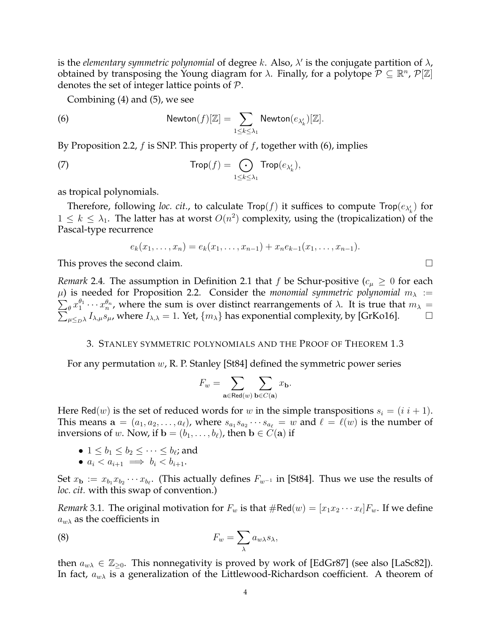is the *elementary symmetric polynomial* of degree k. Also,  $\lambda'$  is the conjugate partition of  $\lambda$ , obtained by transposing the Young diagram for  $\lambda$ . Finally, for a polytope  $P \subseteq \mathbb{R}^n$ ,  $P[\mathbb{Z}]$ denotes the set of integer lattice points of P.

Combining (4) and (5), we see

(6) 
$$
\mathsf{Newton}(f)[\mathbb{Z}] = \sum_{1 \leq k \leq \lambda_1} \mathsf{Newton}(e_{\lambda'_k})[\mathbb{Z}].
$$

By Proposition 2.2, f is SNP. This property of f, together with (6), implies

(7) 
$$
\mathsf{Trop}(f) = \bigodot_{1 \leq k \leq \lambda_1} \mathsf{Trop}(e_{\lambda'_k}),
$$

as tropical polynomials.

Therefore, following *loc. cit.*, to calculate  $\textsf{Trop}(f)$  it suffices to compute  $\textsf{Trop}(e_{\lambda'_k})$  for  $1 \leq k \leq \lambda_1$ . The latter has at worst  $O(n^2)$  complexity, using the (tropicalization) of the Pascal-type recurrence

$$
e_k(x_1,\ldots,x_n)=e_k(x_1,\ldots,x_{n-1})+x_ne_{k-1}(x_1,\ldots,x_{n-1}).
$$

This proves the second claim.

*Remark* 2.4. The assumption in Definition 2.1 that f be Schur-positive ( $c<sub>\mu</sub> \geq 0$  for each  $\sum_{\theta} x_1^{\theta_1} \cdots x_n^{\theta_n}$ , where the sum is over distinct rearrangements of  $\lambda$ . It is true that  $m_{\lambda} =$  $\mu$ ) is needed for Proposition 2.2. Consider the *monomial symmetric polynomial*  $m_{\lambda}$  :=  $\sum_{\mu \leq_{D} \lambda} I_{\lambda,\mu} s_{\mu}$ , where the sum is over distinct rearrangements or  $\lambda$ . It is true that  $m_{\lambda} - \sum_{\mu \leq_{D} \lambda} I_{\lambda,\mu} s_{\mu}$ , where  $I_{\lambda,\lambda} = 1$ . Yet,  $\{m_{\lambda}\}\$  has exponential complexity, by [GrKo16].

## 3. STANLEY SYMMETRIC POLYNOMIALS AND THE PROOF OF THEOREM 1.3

For any permutation w, R. P. Stanley [St84] defined the symmetric power series

$$
F_w = \sum_{\mathbf{a} \in \text{Red}(w)} \sum_{\mathbf{b} \in C(\mathbf{a})} x_{\mathbf{b}}.
$$

Here Red(w) is the set of reduced words for w in the simple transpositions  $s_i = (i \ i + 1)$ . This means  $\mathbf{a} = (a_1, a_2, \dots, a_\ell)$ , where  $s_{a_1} s_{a_2} \cdots s_{a_\ell} = w$  and  $\ell = \ell(w)$  is the number of inversions of w. Now, if  $\mathbf{b} = (b_1, \ldots, b_\ell)$ , then  $\mathbf{b} \in C(\mathbf{a})$  if

• 
$$
1 \leq b_1 \leq b_2 \leq \cdots \leq b_\ell
$$
; and

•  $a_i < a_{i+1} \implies b_i < b_{i+1}.$ 

Set  $x_{\bf b} := x_{b_1} x_{b_2} \cdots x_{b_\ell}$ . (This actually defines  $F_{w^{-1}}$  in [St84]. Thus we use the results of *loc. cit.* with this swap of convention.)

*Remark* 3.1. The original motivation for  $F_w$  is that  $\#\text{Red}(w) = [x_1 x_2 \cdots x_\ell] F_w$ . If we define  $a_{w\lambda}$  as the coefficients in

(8) 
$$
F_w = \sum_{\lambda} a_{w\lambda} s_{\lambda},
$$

then  $a_{w\lambda} \in \mathbb{Z}_{\geq 0}$ . This nonnegativity is proved by work of [EdGr87] (see also [LaSc82]). In fact,  $a_{w\lambda}$  is a generalization of the Littlewood-Richardson coefficient. A theorem of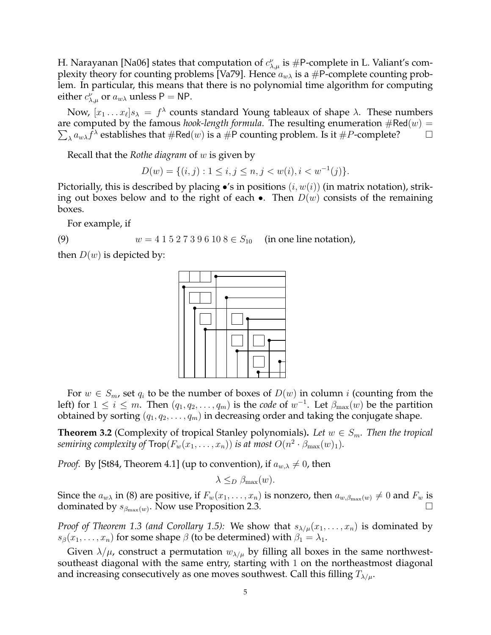H. Narayanan [Na06] states that computation of  $c^{\nu}_{\lambda,\mu}$  is #P-complete in L. Valiant's complexity theory for counting problems [Va79]. Hence  $a_{w\lambda}$  is a #P-complete counting problem. In particular, this means that there is no polynomial time algorithm for computing either  $c^{\nu}_{\lambda,\mu}$  or  $a_{w\lambda}$  unless P = NP.

Now,  $[x_1 \dots x_\ell] s_\lambda = f^\lambda$  counts standard Young tableaux of shape  $\lambda$ . These numbers are computed by the famous *hook-length formula*. The resulting enumeration  $\#\text{Red}(w) =$  $\sum_{\lambda} a_{w\lambda} \hat{f}^{\lambda}$  establishes that  $\#\text{Red}(w)$  is a  $\#\text{P}$  counting problem. Is it  $\#P$ -complete?  $\Box$ 

Recall that the *Rothe diagram* of w is given by

 $D(w) = \{(i, j) : 1 \le i, j \le n, j < w(i), i < w^{-1}(j)\}.$ 

Pictorially, this is described by placing  $\bullet$ 's in positions  $(i, w(i))$  (in matrix notation), striking out boxes below and to the right of each  $\bullet$ . Then  $D(w)$  consists of the remaining boxes.

For example, if

(9)  $w = 4 \ 1 \ 5 \ 2 \ 7 \ 3 \ 9 \ 6 \ 10 \ 8 \in S_{10}$  (in one line notation),

then  $D(w)$  is depicted by:



For  $w \in S_m$ , set  $q_i$  to be the number of boxes of  $D(w)$  in column i (counting from the left) for  $1 \leq i \leq m$ . Then  $(q_1, q_2, \ldots, q_m)$  is the *code* of  $w^{-1}$ . Let  $\beta_{\max}(w)$  be the partition obtained by sorting  $(q_1, q_2, \ldots, q_m)$  in decreasing order and taking the conjugate shape.

**Theorem 3.2** (Complexity of tropical Stanley polynomials). Let  $w \in S_m$ . Then the tropical semiring complexity of  $\mathsf{Trop}(F_w(x_1, \ldots, x_n))$  is at most  $O(n^2 \cdot \beta_{\max}(w)_1).$ 

*Proof.* By [St84, Theorem 4.1] (up to convention), if  $a_{w,\lambda} \neq 0$ , then

 $\lambda \leq_D \beta_{\text{max}}(w)$ .

Since the  $a_{w\lambda}$  in (8) are positive, if  $F_w(x_1, \ldots, x_n)$  is nonzero, then  $a_{w,\beta_{\max}(w)} \neq 0$  and  $F_w$  is dominated by  $s_{\beta_{\max}(w)}$ . Now use Proposition 2.3.

*Proof of Theorem 1.3 (and Corollary 1.5):* We show that  $s_{\lambda/\mu}(x_1, \ldots, x_n)$  is dominated by  $s_{\beta}(x_1, \ldots, x_n)$  for some shape  $\beta$  (to be determined) with  $\beta_1 = \lambda_1$ .

Given  $\lambda/\mu$ , construct a permutation  $w_{\lambda/\mu}$  by filling all boxes in the same northwestsoutheast diagonal with the same entry, starting with 1 on the northeastmost diagonal and increasing consecutively as one moves southwest. Call this filling  $T_{\lambda/\mu}$ .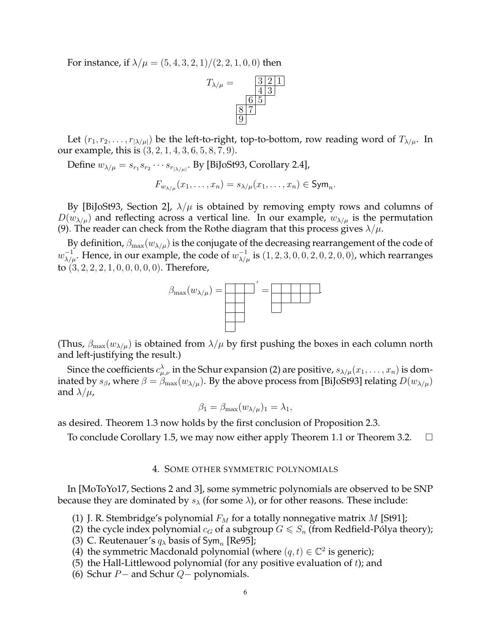For instance, if  $\lambda/\mu = (5, 4, 3, 2, 1)/(2, 2, 1, 0, 0)$  then



Let  $(r_1, r_2, \ldots, r_{|\lambda/\mu|})$  be the left-to-right, top-to-bottom, row reading word of  $T_{\lambda/\mu}$ . In our example, this is (3, 2, 1, 4, 3, 6, 5, 8, 7, 9).

Define  $w_{\lambda/\mu} = s_{r_1} s_{r_2} \cdots s_{r_{|\lambda/\mu|}}$ . By [BiJoSt93, Corollary 2.4],

$$
F_{w_{\lambda/\mu}}(x_1,\ldots,x_n)=s_{\lambda/\mu}(x_1,\ldots,x_n)\in\mathrm{Sym}_n.
$$

By [BiJoSt93, Section 2],  $\lambda/\mu$  is obtained by removing empty rows and columns of  $D(w_{\lambda/\mu})$  and reflecting across a vertical line. In our example,  $w_{\lambda/\mu}$  is the permutation (9). The reader can check from the Rothe diagram that this process gives  $\lambda/\mu$ .

By definition,  $\beta_{\text{max}}(w_{\lambda/\mu})$  is the conjugate of the decreasing rearrangement of the code of  $w_{\lambda/\mu}^{-1}$ . Hence, in our example, the code of  $w_{\lambda/\mu}^{-1}$  is  $(1, 2, 3, 0, 0, 2, 0, 2, 0, 0)$ , which rearranges to  $(3, 2, 2, 2, 1, 0, 0, 0, 0, 0)$ . Therefore,



(Thus,  $\beta_{\text{max}}(w_{\lambda/\mu})$  is obtained from  $\lambda/\mu$  by first pushing the boxes in each column north and left-justifying the result.)

Since the coefficients  $c^\lambda_{\mu,\nu}$  in the Schur expansion (2) are positive,  $s_{\lambda/\mu}(x_1,\ldots,x_n)$  is dominated by  $s_\beta$ , where  $\beta = \beta_{\max}(w_{\lambda/\mu})$ . By the above process from [BiJoSt93] relating  $D(w_{\lambda/\mu})$ and  $\lambda/\mu$ ,

$$
\beta_1 = \beta_{\max}(w_{\lambda/\mu})_1 = \lambda_1,
$$

as desired. Theorem 1.3 now holds by the first conclusion of Proposition 2.3.

To conclude Corollary 1.5, we may now either apply Theorem 1.1 or Theorem 3.2.  $\Box$ 

### 4. SOME OTHER SYMMETRIC POLYNOMIALS

In [MoToYo17, Sections 2 and 3], some symmetric polynomials are observed to be SNP because they are dominated by  $s_{\lambda}$  (for some  $\lambda$ ), or for other reasons. These include:

- (1) J. R. Stembridge's polynomial  $F_M$  for a totally nonnegative matrix M [St91];
- (2) the cycle index polynomial  $c_G$  of a subgroup  $G \leq S_n$  (from Redfield-Pólya theory);
- (3) C. Reutenauer's  $q_{\lambda}$  basis of Sym<sub>n</sub> [Re95];
- (4) the symmetric Macdonald polynomial (where  $(q, t) \in \mathbb{C}^2$  is generic);
- (5) the Hall-Littlewood polynomial (for any positive evaluation of  $t$ ); and
- (6) Schur  $P-$  and Schur  $Q-$  polynomials.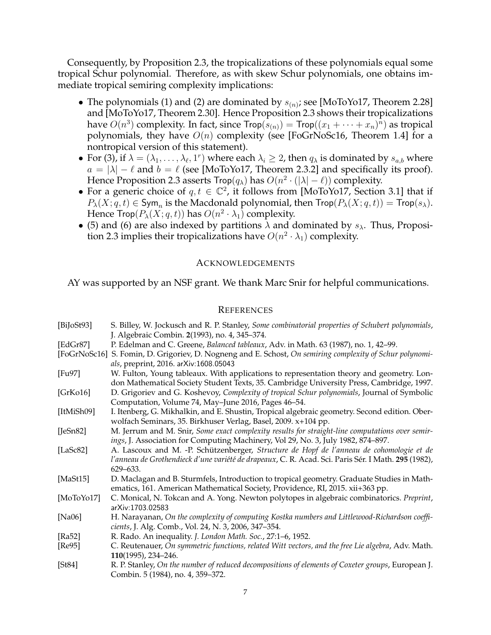Consequently, by Proposition 2.3, the tropicalizations of these polynomials equal some tropical Schur polynomial. Therefore, as with skew Schur polynomials, one obtains immediate tropical semiring complexity implications:

- The polynomials (1) and (2) are dominated by  $s_{(n)}$ ; see [MoToYo17, Theorem 2.28] and [MoToYo17, Theorem 2.30]. Hence Proposition 2.3 shows their tropicalizations have  $O(n^3)$  complexity. In fact, since  $\mathsf{Trop}(s_{(n)}) = \mathsf{Trop}((x_1 + \cdots + x_n)^n)$  as tropical polynomials, they have  $O(n)$  complexity (see [FoGrNoSc16, Theorem 1.4] for a nontropical version of this statement).
- For (3), if  $\lambda = (\lambda_1, \ldots, \lambda_\ell, 1^r)$  where each  $\lambda_i \geq 2$ , then  $q_\lambda$  is dominated by  $s_{a,b}$  where  $a = |\lambda| - \ell$  and  $b = \ell$  (see [MoToYo17, Theorem 2.3.2] and specifically its proof). Hence Proposition 2.3 asserts Trop $(q_{\lambda})$  has  $O(n^2 \cdot (|\lambda| - \ell))$  complexity.
- For a generic choice of  $q, t \in \mathbb{C}^2$ , it follows from [MoToYo17, Section 3.1] that if  $P_{\lambda}(X;q,t) \in \mathsf{Sym}_n$  is the Macdonald polynomial, then  $\mathsf{Trop}(P_{\lambda}(X;q,t)) = \mathsf{Trop}(s_{\lambda}).$ Hence Trop $(P_\lambda(X; q, t))$  has  $O(n^2 \cdot \lambda_1)$  complexity.
- (5) and (6) are also indexed by partitions  $\lambda$  and dominated by  $s_{\lambda}$ . Thus, Proposition 2.3 implies their tropicalizations have  $O(n^2 \cdot \lambda_1)$  complexity.

# ACKNOWLEDGEMENTS

AY was supported by an NSF grant. We thank Marc Snir for helpful communications.

# **REFERENCES**

| [BiJ <sub>0</sub> St <sub>93</sub> ] | S. Billey, W. Jockusch and R. P. Stanley, Some combinatorial properties of Schubert polynomials,<br>J. Algebraic Combin. 2(1993), no. 4, 345-374.                                                           |
|--------------------------------------|-------------------------------------------------------------------------------------------------------------------------------------------------------------------------------------------------------------|
| [EdGr87]                             | P. Edelman and C. Greene, Balanced tableaux, Adv. in Math. 63 (1987), no. 1, 42-99.                                                                                                                         |
| [FoGrNoSc16]                         | S. Fomin, D. Grigoriev, D. Nogneng and E. Schost, On semiring complexity of Schur polynomi-<br>als, preprint, 2016. arXiv:1608.05043                                                                        |
| [Fu97]                               | W. Fulton, Young tableaux. With applications to representation theory and geometry. Lon-<br>don Mathematical Society Student Texts, 35. Cambridge University Press, Cambridge, 1997.                        |
| [GrK <sub>016]</sub>                 | D. Grigoriev and G. Koshevoy, Complexity of tropical Schur polynomials, Journal of Symbolic<br>Computation, Volume 74, May-June 2016, Pages 46-54.                                                          |
| [ItMiSh09]                           | I. Itenberg, G. Mikhalkin, and E. Shustin, Tropical algebraic geometry. Second edition. Ober-<br>wolfach Seminars, 35. Birkhuser Verlag, Basel, 2009. x+104 pp.                                             |
| [JeSn82]                             | M. Jerrum and M. Snir, Some exact complexity results for straight-line computations over semir-<br>ings, J. Association for Computing Machinery, Vol 29, No. 3, July 1982, 874-897.                         |
| [LaSc $82$ ]                         | A. Lascoux and M. -P. Schützenberger, Structure de Hopf de l'anneau de cohomologie et de<br>l'anneau de Grothendieck d'une variété de drapeaux, C. R. Acad. Sci. Paris Sér. I Math. 295 (1982),<br>629-633. |
| [ $MaSt15$ ]                         | D. Maclagan and B. Sturmfels, Introduction to tropical geometry. Graduate Studies in Math-<br>ematics, 161. American Mathematical Society, Providence, RI, 2015. xii+363 pp.                                |
| [ $MoToYo17]$ ]                      | C. Monical, N. Tokcan and A. Yong. Newton polytopes in algebraic combinatorics. Preprint,<br>arXiv:1703.02583                                                                                               |
| [ $Na06$ ]                           | H. Narayanan, On the complexity of computing Kostka numbers and Littlewood-Richardson coeffi-<br>cients, J. Alg. Comb., Vol. 24, N. 3, 2006, 347-354.                                                       |
| [ $Ra52$ ]                           | R. Rado. An inequality. J. London Math. Soc., 27:1-6, 1952.                                                                                                                                                 |
| [Re95]                               | C. Reutenauer, On symmetric functions, related Witt vectors, and the free Lie algebra, Adv. Math.<br>110(1995), 234-246.                                                                                    |
| [St84]                               | R. P. Stanley, On the number of reduced decompositions of elements of Coxeter groups, European J.<br>Combin. 5 (1984), no. 4, 359-372.                                                                      |